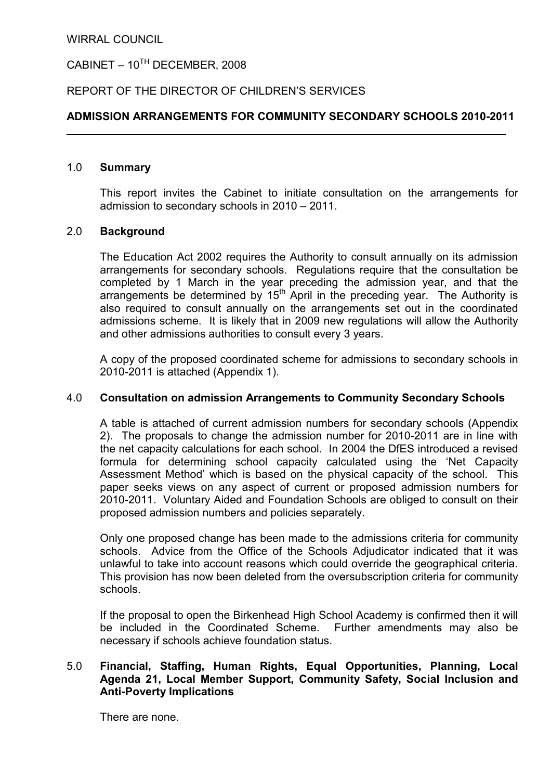# CABINET –  $10^{TH}$  DECEMBER, 2008

## REPORT OF THE DIRECTOR OF CHILDREN'S SERVICES

## ADMISSION ARRANGEMENTS FOR COMMUNITY SECONDARY SCHOOLS 2010-2011

## 1.0 Summary

 This report invites the Cabinet to initiate consultation on the arrangements for admission to secondary schools in 2010 – 2011.

#### 2.0 Background

 The Education Act 2002 requires the Authority to consult annually on its admission arrangements for secondary schools. Regulations require that the consultation be completed by 1 March in the year preceding the admission year, and that the arrangements be determined by  $15<sup>th</sup>$  April in the preceding year. The Authority is also required to consult annually on the arrangements set out in the coordinated admissions scheme. It is likely that in 2009 new regulations will allow the Authority and other admissions authorities to consult every 3 years.

 A copy of the proposed coordinated scheme for admissions to secondary schools in 2010-2011 is attached (Appendix 1).

#### 4.0 Consultation on admission Arrangements to Community Secondary Schools

 A table is attached of current admission numbers for secondary schools (Appendix 2). The proposals to change the admission number for 2010-2011 are in line with the net capacity calculations for each school. In 2004 the DfES introduced a revised formula for determining school capacity calculated using the 'Net Capacity Assessment Method' which is based on the physical capacity of the school. This paper seeks views on any aspect of current or proposed admission numbers for 2010-2011. Voluntary Aided and Foundation Schools are obliged to consult on their proposed admission numbers and policies separately.

 Only one proposed change has been made to the admissions criteria for community schools. Advice from the Office of the Schools Adjudicator indicated that it was unlawful to take into account reasons which could override the geographical criteria. This provision has now been deleted from the oversubscription criteria for community schools.

 If the proposal to open the Birkenhead High School Academy is confirmed then it will be included in the Coordinated Scheme. Further amendments may also be necessary if schools achieve foundation status.

## 5.0 Financial, Staffing, Human Rights, Equal Opportunities, Planning, Local Agenda 21, Local Member Support, Community Safety, Social Inclusion and Anti-Poverty Implications

There are none.